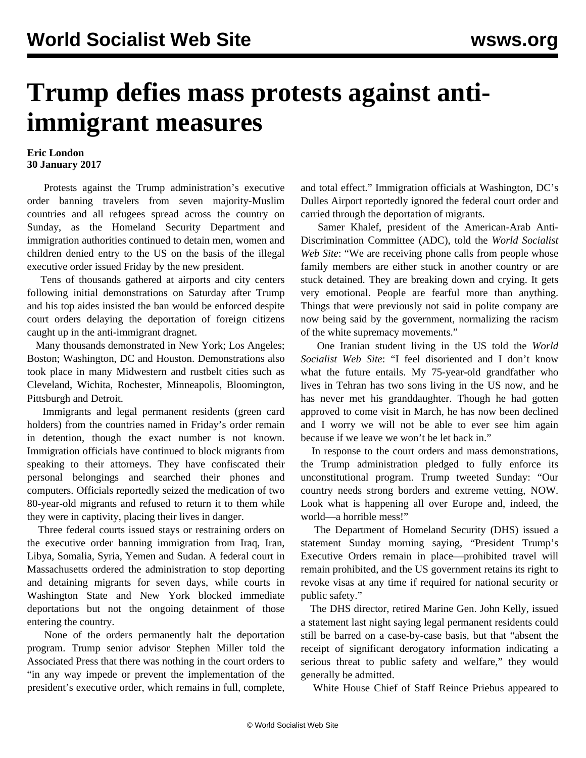## **Trump defies mass protests against antiimmigrant measures**

## **Eric London 30 January 2017**

 Protests against the Trump administration's executive order banning travelers from seven majority-Muslim countries and all refugees spread across the country on Sunday, as the Homeland Security Department and immigration authorities continued to detain men, women and children denied entry to the US on the basis of the illegal executive order issued Friday by the new president.

 Tens of thousands gathered at airports and city centers following initial demonstrations on Saturday after Trump and his top aides insisted the ban would be enforced despite court orders delaying the deportation of foreign citizens caught up in the anti-immigrant dragnet.

 Many thousands demonstrated in New York; Los Angeles; Boston; Washington, DC and Houston. Demonstrations also took place in many Midwestern and rustbelt cities such as Cleveland, Wichita, Rochester, Minneapolis, Bloomington, Pittsburgh and Detroit.

 Immigrants and legal permanent residents (green card holders) from the countries named in Friday's order remain in detention, though the exact number is not known. Immigration officials have continued to block migrants from speaking to their attorneys. They have confiscated their personal belongings and searched their phones and computers. Officials reportedly seized the medication of two 80-year-old migrants and refused to return it to them while they were in captivity, placing their lives in danger.

 Three federal courts issued stays or restraining orders on the executive order banning immigration from Iraq, Iran, Libya, Somalia, Syria, Yemen and Sudan. A federal court in Massachusetts ordered the administration to stop deporting and detaining migrants for seven days, while courts in Washington State and New York blocked immediate deportations but not the ongoing detainment of those entering the country.

 None of the orders permanently halt the deportation program. Trump senior advisor Stephen Miller told the Associated Press that there was nothing in the court orders to "in any way impede or prevent the implementation of the president's executive order, which remains in full, complete, and total effect." Immigration officials at Washington, DC's Dulles Airport reportedly ignored the federal court order and carried through the deportation of migrants.

 Samer Khalef, president of the American-Arab Anti-Discrimination Committee (ADC), told the *World Socialist Web Site*: "We are receiving phone calls from people whose family members are either stuck in another country or are stuck detained. They are breaking down and crying. It gets very emotional. People are fearful more than anything. Things that were previously not said in polite company are now being said by the government, normalizing the racism of the white supremacy movements."

 One Iranian student living in the US told the *World Socialist Web Site*: "I feel disoriented and I don't know what the future entails. My 75-year-old grandfather who lives in Tehran has two sons living in the US now, and he has never met his granddaughter. Though he had gotten approved to come visit in March, he has now been declined and I worry we will not be able to ever see him again because if we leave we won't be let back in."

 In response to the court orders and mass demonstrations, the Trump administration pledged to fully enforce its unconstitutional program. Trump tweeted Sunday: "Our country needs strong borders and extreme vetting, NOW. Look what is happening all over Europe and, indeed, the world—a horrible mess!"

 The Department of Homeland Security (DHS) issued a statement Sunday morning saying, "President Trump's Executive Orders remain in place—prohibited travel will remain prohibited, and the US government retains its right to revoke visas at any time if required for national security or public safety."

 The DHS director, retired Marine Gen. John Kelly, issued a statement last night saying legal permanent residents could still be barred on a case-by-case basis, but that "absent the receipt of significant derogatory information indicating a serious threat to public safety and welfare," they would generally be admitted.

White House Chief of Staff Reince Priebus appeared to